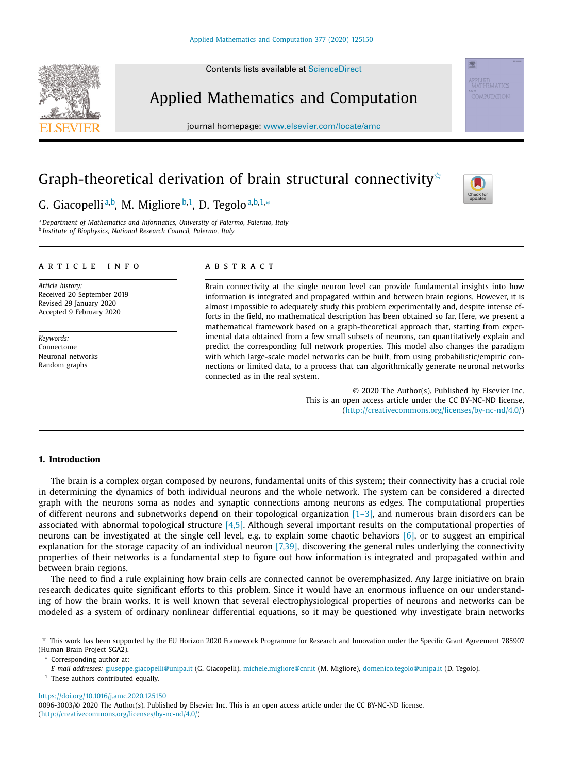Contents lists available at [ScienceDirect](http://www.ScienceDirect.com)

# Applied Mathematics and Computation

journal homepage: [www.elsevier.com/locate/amc](http://www.elsevier.com/locate/amc)

# Graph-theoretical derivation of brain structural connectivity ${}^{\scriptscriptstyle\wedge}$

# G. Giacopelli<sup>a,b</sup>, M. Migliore<sup>b,1</sup>, D. Tegolo<sup>a,b,1,</sup>\*

<sup>a</sup> *Department of Mathematics and Informatics, University of Palermo, Palermo, Italy* <sup>b</sup> *Institute of Biophysics, National Research Council, Palermo, Italy*

#### a r t i c l e i n f o

*Article history:* Received 20 September 2019 Revised 29 January 2020 Accepted 9 February 2020

*Keywords:* Connectome Neuronal networks Random graphs

# a b s t r a c t

Brain connectivity at the single neuron level can provide fundamental insights into how information is integrated and propagated within and between brain regions. However, it is almost impossible to adequately study this problem experimentally and, despite intense efforts in the field, no mathematical description has been obtained so far. Here, we present a mathematical framework based on a graph-theoretical approach that, starting from experimental data obtained from a few small subsets of neurons, can quantitatively explain and predict the corresponding full network properties. This model also changes the paradigm with which large-scale model networks can be built, from using probabilistic/empiric connections or limited data, to a process that can algorithmically generate neuronal networks connected as in the real system.

> © 2020 The Author(s). Published by Elsevier Inc. This is an open access article under the CC BY-NC-ND license. [\(http://creativecommons.org/licenses/by-nc-nd/4.0/\)](http://creativecommons.org/licenses/by-nc-nd/4.0/)

### **1. Introduction**

The brain is a complex organ composed by neurons, fundamental units of this system; their connectivity has a crucial role in determining the dynamics of both individual neurons and the whole network. The system can be considered a directed graph with the neurons soma as nodes and synaptic connections among neurons as edges. The computational properties of different neurons and subnetworks depend on their topological organization  $[1-3]$ , and numerous brain disorders can be associated with abnormal topological structure  $[4,5]$ . Although several important results on the computational properties of neurons can be investigated at the single cell level, e.g. to explain some chaotic behaviors [\[6\],](#page-14-0) or to suggest an empirical explanation for the storage capacity of an individual neuron  $[7,39]$ , discovering the general rules underlying the connectivity properties of their networks is a fundamental step to figure out how information is integrated and propagated within and between brain regions.

The need to find a rule explaining how brain cells are connected cannot be overemphasized. Any large initiative on brain research dedicates quite significant efforts to this problem. Since it would have an enormous influence on our understanding of how the brain works. It is well known that several electrophysiological properties of neurons and networks can be modeled as a system of ordinary nonlinear differential equations, so it may be questioned why investigate brain networks

<sup>∗</sup> Corresponding author at:

<https://doi.org/10.1016/j.amc.2020.125150>





骤

 $^\star$  This work has been supported by the EU Horizon 2020 Framework Programme for Research and Innovation under the Specific Grant Agreement 785907 (Human Brain Project SGA2).

*E-mail addresses:* [giuseppe.giacopelli@unipa.it](mailto:giuseppe.giacopelli@unipa.it) (G. Giacopelli), [michele.migliore@cnr.it](mailto:michele.migliore@cnr.it) (M. Migliore), [domenico.tegolo@unipa.it](mailto:domenico.tegolo@unipa.it) (D. Tegolo).

<sup>&</sup>lt;sup>1</sup> These authors contributed equally.

<sup>0096-3003/© 2020</sup> The Author(s). Published by Elsevier Inc. This is an open access article under the CC BY-NC-ND license. [\(http://creativecommons.org/licenses/by-nc-nd/4.0/\)](http://creativecommons.org/licenses/by-nc-nd/4.0/)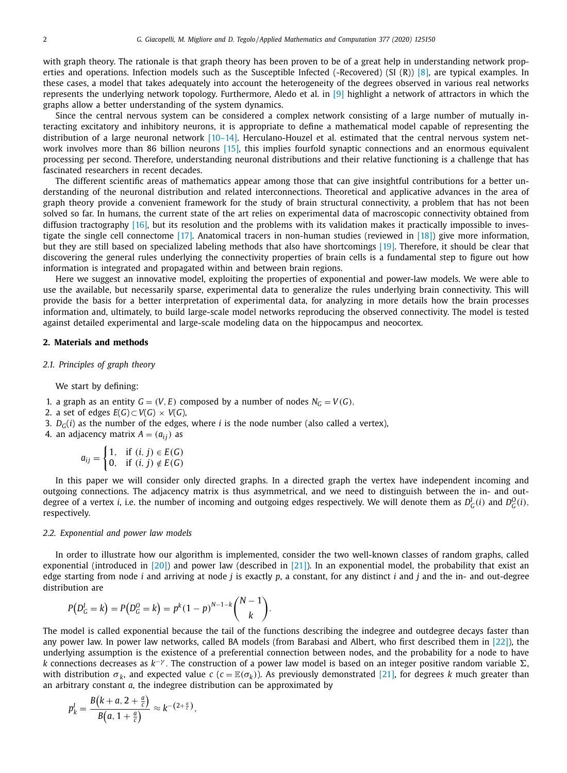with graph theory. The rationale is that graph theory has been proven to be of a great help in understanding network properties and operations. Infection models such as the Susceptible Infected (-Recovered) (SI  $(R)$ ) [\[8\],](#page-14-0) are typical examples. In these cases, a model that takes adequately into account the heterogeneity of the degrees observed in various real networks represents the underlying network topology. Furthermore, Aledo et al. in [\[9\]](#page-14-0) highlight a network of attractors in which the graphs allow a better understanding of the system dynamics.

Since the central nervous system can be considered a complex network consisting of a large number of mutually interacting excitatory and inhibitory neurons, it is appropriate to define a mathematical model capable of representing the distribution of a large neuronal network [10-14]. Herculano-Houzel et al. estimated that the central nervous system network involves more than 86 billion neurons [\[15\],](#page-14-0) this implies fourfold synaptic connections and an enormous equivalent processing per second. Therefore, understanding neuronal distributions and their relative functioning is a challenge that has fascinated researchers in recent decades.

The different scientific areas of mathematics appear among those that can give insightful contributions for a better understanding of the neuronal distribution and related interconnections. Theoretical and applicative advances in the area of graph theory provide a convenient framework for the study of brain structural connectivity, a problem that has not been solved so far. In humans, the current state of the art relies on experimental data of macroscopic connectivity obtained from diffusion tractography [\[16\],](#page-14-0) but its resolution and the problems with its validation makes it practically impossible to investigate the single cell connectome  $[17]$ . Anatomical tracers in non-human studies (reviewed in  $[18]$ ) give more information, but they are still based on specialized labeling methods that also have shortcomings [\[19\].](#page-14-0) Therefore, it should be clear that discovering the general rules underlying the connectivity properties of brain cells is a fundamental step to figure out how information is integrated and propagated within and between brain regions.

Here we suggest an innovative model, exploiting the properties of exponential and power-law models. We were able to use the available, but necessarily sparse, experimental data to generalize the rules underlying brain connectivity. This will provide the basis for a better interpretation of experimental data, for analyzing in more details how the brain processes information and, ultimately, to build large-scale model networks reproducing the observed connectivity. The model is tested against detailed experimental and large-scale modeling data on the hippocampus and neocortex.

#### **2. Materials and methods**

#### *2.1. Principles of graph theory*

We start by defining:

- 1. a graph as an entity  $G = (V, E)$  composed by a number of nodes  $N_G = V(G)$ ,
- 2. a set of edges  $E(G) \subset V(G) \times V(G)$ ,
- 3.  $D_G(i)$  as the number of the edges, where *i* is the node number (also called a vertex),
- 4. an adjacency matrix  $A = (a_{ij})$  as

$$
a_{ij} = \begin{cases} 1, & \text{if } (i, j) \in E(G) \\ 0, & \text{if } (i, j) \notin E(G) \end{cases}
$$

In this paper we will consider only directed graphs. In a directed graph the vertex have independent incoming and outgoing connections. The adjacency matrix is thus asymmetrical, and we need to distinguish between the in- and outdegree of a vertex *i*, i.e. the number of incoming and outgoing edges respectively. We will denote them as  $D^I_G(i)$  and  $D^O_G(i)$ , respectively.

#### *2.2. Exponential and power law models*

In order to illustrate how our algorithm is implemented, consider the two well-known classes of random graphs, called exponential (introduced in  $[20]$ ) and power law (described in  $[21]$ ). In an exponential model, the probability that exist an edge starting from node *i* and arriving at node *j* is exactly *p*, a constant, for any distinct *i* and *j* and the in- and out-degree distribution are

$$
P(DGI = k) = P(DGO = k) = pk(1 - p)N-1-k{N-1 \choose k}.
$$

The model is called exponential because the tail of the functions describing the indegree and outdegree decays faster than any power law. In power law networks, called BA models (from Barabasi and Albert, who first described them in [\[22\]\)](#page-14-0), the underlying assumption is the existence of a preferential connection between nodes, and the probability for a node to have *k* connections decreases as  $k^{-\gamma}$ . The construction of a power law model is based on an integer positive random variable  $\Sigma$ , with distribution  $\sigma_k$ , and expected value *c* ( $c = \mathbb{E}(\sigma_k)$ ). As previously demonstrated [\[21\],](#page-14-0) for degrees *k* much greater than an arbitrary constant *a*, the indegree distribution can be approximated by

$$
p_k^l = \frac{B(k+a, 2+\frac{a}{c})}{B(a, 1+\frac{a}{c})} \approx k^{-(2+\frac{a}{c})},
$$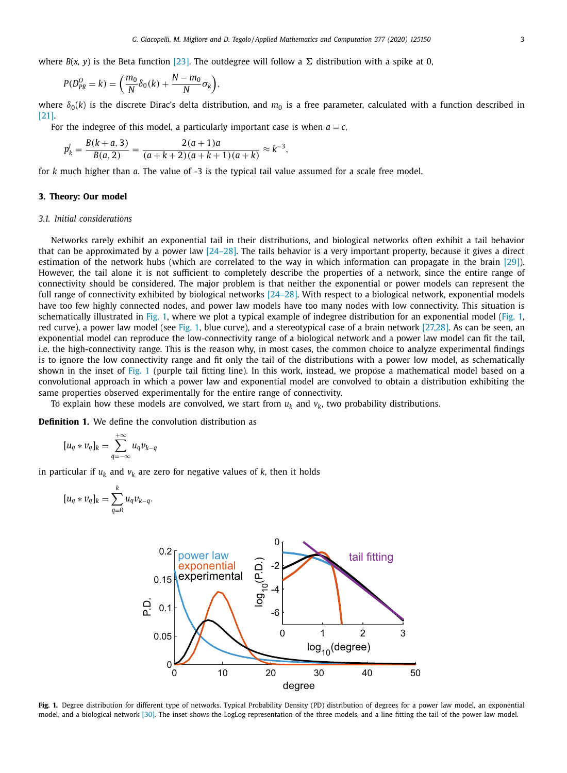where  $B(x, y)$  is the Beta function [\[23\].](#page-14-0) The outdegree will follow a  $\Sigma$  distribution with a spike at 0,

$$
P(D_{PR}^0 = k) = \left(\frac{m_0}{N}\delta_0(k) + \frac{N - m_0}{N}\sigma_k\right),
$$

where  $\delta_0(k)$  is the discrete Dirac's delta distribution, and  $m_0$  is a free parameter, calculated with a function described in [\[21\].](#page-14-0)

For the indegree of this model, a particularly important case is when  $a = c$ ,

$$
p_k^l = \frac{B(k+a,3)}{B(a,2)} = \frac{2(a+1)a}{(a+k+2)(a+k+1)(a+k)} \approx k^{-3},
$$

for *k* much higher than *a*. The value of -3 is the typical tail value assumed for a scale free model.

## **3. Theory: Our model**

#### *3.1. Initial considerations*

Networks rarely exhibit an exponential tail in their distributions, and biological networks often exhibit a tail behavior that can be approximated by a power law  $[24-28]$ . The tails behavior is a very important property, because it gives a direct estimation of the network hubs (which are correlated to the way in which information can propagate in the brain [\[29\]\)](#page-14-0). However, the tail alone it is not sufficient to completely describe the properties of a network, since the entire range of connectivity should be considered. The major problem is that neither the exponential or power models can represent the full range of connectivity exhibited by biological networks [\[24–28\].](#page-14-0) With respect to a biological network, exponential models have too few highly connected nodes, and power law models have too many nodes with low connectivity. This situation is schematically illustrated in Fig. 1, where we plot a typical example of indegree distribution for an exponential model (Fig. 1, red curve), a power law model (see Fig. 1, blue curve), and a stereotypical case of a brain network [\[27,28\].](#page-14-0) As can be seen, an exponential model can reproduce the low-connectivity range of a biological network and a power law model can fit the tail, i.e. the high-connectivity range. This is the reason why, in most cases, the common choice to analyze experimental findings is to ignore the low connectivity range and fit only the tail of the distributions with a power low model, as schematically shown in the inset of Fig. 1 (purple tail fitting line). In this work, instead, we propose a mathematical model based on a convolutional approach in which a power law and exponential model are convolved to obtain a distribution exhibiting the same properties observed experimentally for the entire range of connectivity.

To explain how these models are convolved, we start from  $u_k$  and  $v_k$ , two probability distributions.

**Definition 1.** We define the convolution distribution as

$$
[u_q * v_q]_k = \sum_{q=-\infty}^{+\infty} u_q v_{k-q}
$$

in particular if  $u_k$  and  $v_k$  are zero for negative values of  $k$ , then it holds

$$
[u_q * v_q]_k = \sum_{q=0}^k u_q v_{k-q}.
$$



**Fig. 1.** Degree distribution for different type of networks. Typical Probability Density (PD) distribution of degrees for a power law model, an exponential model, and a biological network [\[30\].](#page-14-0) The inset shows the LogLog representation of the three models, and a line fitting the tail of the power law model.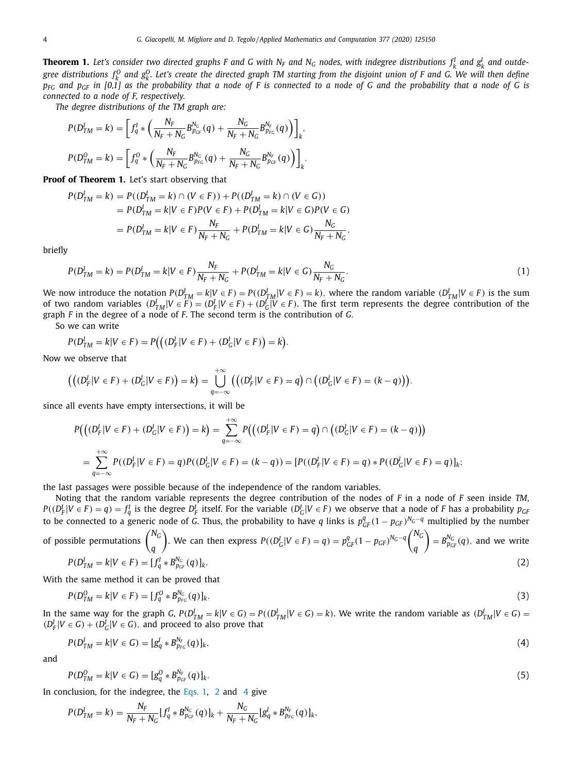**Theorem 1.** Let's consider two directed graphs F and G with N<sub>F</sub> and N<sub>G</sub> nodes, with indegree distributions  $f_k^I$  and  $g_k^I$  and outdegree distributions  $f_k^0$  and  $g_k^0$ . Let's create the directed graph TM starting from the disjoint union of F and G. We will then define  $p_{FG}$  and  $p_{GF}$  in [0,1] as the probability that a node of F is connected to a node of G and the probability that a node of G is *connected to a node of F, respectively.*

*The degree distributions of the TM graph are:*

$$
P(D_{TM}^I = k) = \left[ f_q^I * \left( \frac{N_F}{N_F + N_G} B_{p_{GF}}^{N_G}(q) + \frac{N_G}{N_F + N_G} B_{p_{FG}}^{N_F}(q) \right) \right]_k,
$$
  

$$
P(D_{TM}^O = k) = \left[ f_q^O * \left( \frac{N_F}{N_F + N_G} B_{p_{FG}}^{N_G}(q) + \frac{N_G}{N_F + N_G} B_{p_{GF}}^{N_F}(q) \right) \right]_k.
$$

**Proof of Theorem 1.** Let's start observing that

$$
P(D_{TM}^I = k) = P((D_{TM}^I = k) \cap (V \in F)) + P((D_{TM}^I = k) \cap (V \in G))
$$
  
=  $P(D_{TM}^I = k | V \in F) P(V \in F) + P(D_{TM}^I = k | V \in G) P(V \in G)$   
=  $P(D_{TM}^I = k | V \in F) \frac{N_F}{N_F + N_G} + P(D_{TM}^I = k | V \in G) \frac{N_G}{N_F + N_G},$ 

briefly

$$
P(D_{TM}^I = k) = P(D_{TM}^I = k | V \in F) \frac{N_F}{N_F + N_G} + P(D_{TM}^I = k | V \in G) \frac{N_G}{N_F + N_G}.
$$
\n(1)

We now introduce the notation  $P(D_{TM}^I=k|V\in F)=P((D_{TM}^I|V\in F)=k)$ , where the random variable  $(D_{TM}^I|V\in F)$  is the sum of two random variables  $(D_{TM}^I | V \in F) = (D_F^I | V \in F) + (D_G^I | V \in F)$ . The first term represents the degree contribution of the graph *F* in the degree of a node of *F*. The second term is the contribution of *G*.

So we can write

$$
P(D_{TM}^I = k | V \in F) = P((D_F^I | V \in F) + (D_G^I | V \in F)) = k).
$$

Now we observe that

$$
\left(\left((D_F^l|V\in F)+(D_G^l|V\in F)\right)=k\right)=\bigcup_{q=-\infty}^{+\infty}\left(\left((D_F^l|V\in F)=q\right)\cap\left((D_G^l|V\in F)=(k-q)\right)\right).
$$

since all events have empty intersections, it will be

$$
P((D_F^l | V \in F) + (D_G^l | V \in F)) = k) = \sum_{q = -\infty}^{+\infty} P((D_F^l | V \in F) = q) \cap (D_G^l | V \in F) = (k - q))
$$
  
= 
$$
\sum_{q = -\infty}^{+\infty} P((D_F^l | V \in F) = q) P((D_G^l | V \in F) = (k - q)) = [P((D_F^l | V \in F) = q) * P((D_G^l | V \in F) = q)]_k;
$$

the last passages were possible because of the independence of the random variables.

Noting that the random variable represents the degree contribution of the nodes of *F* in a node of *F* seen inside *TM*,  $P((D_F^I|V\in F)=q)=f_q^I$  is the degree  $D_F^I$  itself. For the variable  $(D_G^I|V\in F)$  we observe that a node of F has a probability  $p_{GH}$ to be connected to a generic node of *G*. Thus, the probability to have *q* links is  $p_{GF}^q(1-p_{GF})^{N_G-q}$  multiplied by the number

of possible permutations 
$$
\binom{N_G}{q}
$$
. We can then express  $P((D_G^I | V \in F) = q) = p_{GF}^q (1 - p_{GF})^{N_G - q} \binom{N_G}{q} = B_{P_{GF}}^{N_G}(q)$ , and we write  $P(D_{TM}^I = k | V \in F) = [f_q^I * B_{p_{GF}}^{N_G}(q)]_k$ . (2)

With the same method it can be proved that

$$
P(D_{TM}^O = k|V \in F) = [f_q^O * B_{p_{FG}}^{N_G}(q)]_k.
$$
\n(3)

In the same way for the graph G,  $P(D_{TM}^I = k|V \in G) = P((D_{TM}^I | V \in G) = k)$ . We write the random variable as  $(D_{TM}^I | V \in G) =$  $(D_F^I | V \in G) + (D_G^I | V \in G)$ , and proceed to also prove that

$$
P(D_{TM}^l = k | V \in G) = [g_q^l * B_{p_{FG}}^{N_F}(q)]_k, \tag{4}
$$

and

$$
P(D_{TM}^O = k|V \in G) = [g_q^O * B_{p_{CF}}^{N_F}(q)]_k. \tag{5}
$$

In conclusion, for the indegree, the Eqs. 1, 2 and 4 give

$$
P(D_{TM}^I = k) = \frac{N_F}{N_F + N_G} [f_q^I * B_{p_{GF}}^{N_G}(q)]_k + \frac{N_G}{N_F + N_G} [g_q^I * B_{p_{FG}}^{N_F}(q)]_k,
$$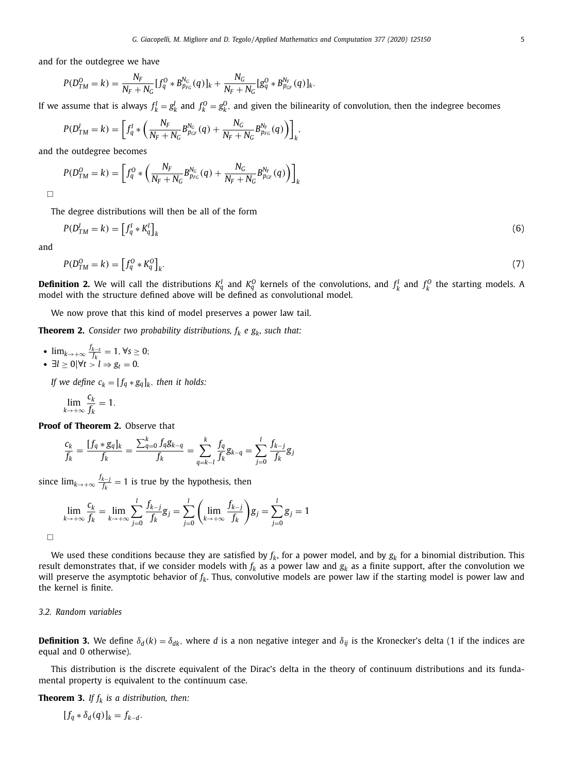<span id="page-4-0"></span>and for the outdegree we have

$$
P(D_{TM}^{O}=k)=\frac{N_{F}}{N_{F}+N_{G}}[f_{q}^{O}*B_{p_{FG}}^{N_{G}}(q)]_{k}+\frac{N_{G}}{N_{F}+N_{G}}[g_{q}^{O}*B_{p_{GF}}^{N_{F}}(q)]_{k}.
$$

If we assume that is always  $f_k^I = g_k^I$  and  $f_k^O = g_k^O$ , and given the bilinearity of convolution, then the indegree becomes

$$
P(D_{TM}^I = k) = \left[ f_q^I * \left( \frac{N_F}{N_F + N_G} B_{p_{GF}}^{N_G}(q) + \frac{N_G}{N_F + N_G} B_{p_{FG}}^{N_F}(q) \right) \right]_k,
$$

and the outdegree becomes

$$
P(D_{TM}^{O} = k) = \left[f_q^{O} * \left(\frac{N_F}{N_F + N_G} B_{p_{FG}}^{N_G}(q) + \frac{N_G}{N_F + N_G} B_{p_{GF}}^{N_F}(q)\right)\right]_{k}
$$

 $\Box$ 

The degree distributions will then be all of the form

$$
P(D_{TM}^l = k) = \left[f_q^l * K_q^l\right]_k \tag{6}
$$

and

$$
P(D_{TM}^O = k) = \left[f_q^O * K_q^O\right]_k. \tag{7}
$$

**Definition 2.** We will call the distributions  $K_q^I$  and  $K_q^O$  kernels of the convolutions, and  $f_k^I$  and  $f_k^O$  the starting models. A model with the structure defined above will be defined as convolutional model.

We now prove that this kind of model preserves a power law tail.

**Theorem 2.** Consider two probability distributions,  $f_k$  *e*  $g_k$ *, such that:* 

•  $\lim_{k \to +\infty} \frac{f_{k-s}}{f_k}$  $\frac{k-s}{f_k}$  = 1, ∀*s* ≥ 0; •  $\exists l \geq 0 \, |\forall t > l \Rightarrow g_t = 0.$ 

*If* we define  $c_k = [f_q * g_q]_k$ , then it holds:

$$
\lim_{k\to+\infty}\frac{c_k}{f_k}=1.
$$

**Proof of Theorem 2.** Observe that

$$
\frac{c_k}{f_k} = \frac{[f_q * g_q]_k}{f_k} = \frac{\sum_{q=0}^k f_q g_{k-q}}{f_k} = \sum_{q=k-l}^k \frac{f_q}{f_k} g_{k-q} = \sum_{j=0}^l \frac{f_{k-j}}{f_k} g_j
$$

since  $\lim_{k \to +\infty} \frac{f_{k-j}}{f_k}$  $\frac{k-j}{f_k} = 1$  is true by the hypothesis, then

$$
\lim_{k \to +\infty} \frac{c_k}{f_k} = \lim_{k \to +\infty} \sum_{j=0}^l \frac{f_{k-j}}{f_k} g_j = \sum_{j=0}^l \left( \lim_{k \to +\infty} \frac{f_{k-j}}{f_k} \right) g_j = \sum_{j=0}^l g_j = 1
$$

 $\Box$ 

We used these conditions because they are satisfied by  $f_k$ , for a power model, and by  $g_k$  for a binomial distribution. This result demonstrates that, if we consider models with  $f_k$  as a power law and  $g_k$  as a finite support, after the convolution we will preserve the asymptotic behavior of *fk*. Thus, convolutive models are power law if the starting model is power law and the kernel is finite.

# *3.2. Random variables*

**Definition 3.** We define  $\delta_d(k) = \delta_{dk}$ , where *d* is a non negative integer and  $\delta_{ij}$  is the Kronecker's delta (1 if the indices are equal and 0 otherwise).

This distribution is the discrete equivalent of the Dirac's delta in the theory of continuum distributions and its fundamental property is equivalent to the continuum case.

**Theorem 3.** *If*  $f_k$  *is a distribution, then:* 

$$
[f_q * \delta_d(q)]_k = f_{k-d}.
$$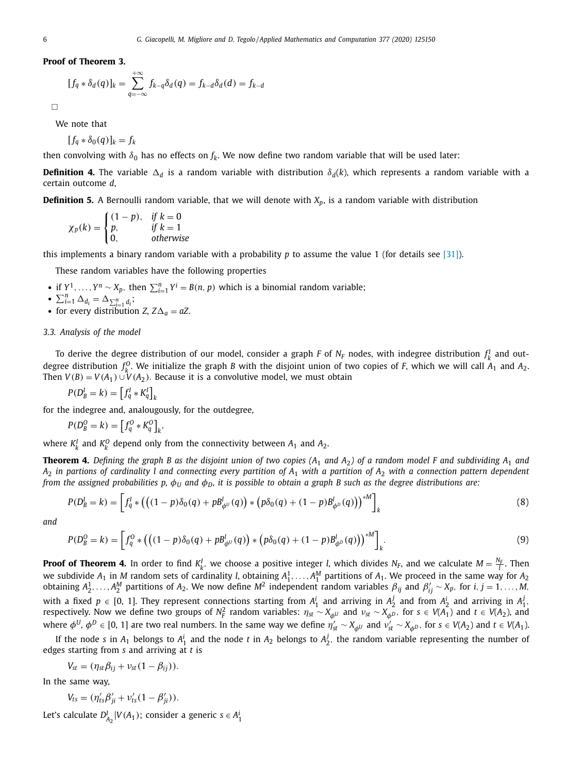<span id="page-5-0"></span>**Proof of Theorem 3.**

$$
[f_q * \delta_d(q)]_k = \sum_{q=-\infty}^{+\infty} f_{k-q} \delta_d(q) = f_{k-d} \delta_d(d) = f_{k-d}
$$

 $\Box$ 

We note that

 $[f_q * \delta_0(q)]_k = f_k$ 

then convolving with  $\delta_0$  has no effects on  $f_k$ . We now define two random variable that will be used later:

**Definition 4.** The variable  $\Delta_d$  is a random variable with distribution  $\delta_d(k)$ , which represents a random variable with a certain outcome *d*,

**Definition 5.** A Bernoulli random variable, that we will denote with *Xp*, is a random variable with distribution

$$
\chi_p(k) = \begin{cases} (1-p), & \text{if } k = 0\\ p, & \text{if } k = 1\\ 0, & \text{otherwise} \end{cases}
$$

this implements a binary random variable with a probability *p* to assume the value 1 (for details see [\[31\]\)](#page-14-0).

These random variables have the following properties

• if  $Y^1, \ldots, Y^n \sim X_p$ , then  $\sum_{i=1}^n Y^i = B(n, p)$  which is a binomial random variable;

$$
\bullet \ \sum_{i=1}^n \Delta_{d_i} = \Delta_{\sum_{i=1}^n d_i};
$$

• for every distribution *Z*,  $Z\Delta_a = aZ$ .

#### *3.3. Analysis of the model*

To derive the degree distribution of our model, consider a graph *F* of  $N_F$  nodes, with indegree distribution  $f^I_k$  and outdegree distribution  $f_k^0$ . We initialize the graph *B* with the disjoint union of two copies of *F*, which we will call  $A_1$  and  $A_2$ . Then  $V(B) = V(A_1) \cup V(A_2)$ . Because it is a convolutive model, we must obtain

$$
P(D_B^l = k) = \left[f_q^l * K_q^l\right]_k
$$

for the indegree and, analougously, for the outdegree,

$$
P(D_B^0 = k) = \left[f_q^0 * K_q^0\right]_k,
$$

where  $K_k^I$  and  $K_k^O$  depend only from the connectivity between  $A_1$  and  $A_2$ .

**Theorem 4.** Defining the graph B as the disjoint union of two copies ( $A_1$  and  $A_2$ ) of a random model F and subdividing  $A_1$  and  $A_2$  in partions of cardinality I and connecting every partition of  $A_1$  with a partition of  $A_2$  with a connection pattern dependent from the assigned probabilities p,  $\phi_U$  and  $\phi_D$ , it is possible to obtain a graph B such as the degree distributions are:

$$
P(D_B^l = k) = \left[ f_q^l * (((1 - p)\delta_0(q) + p B_{\phi^U}^l(q)) * (p \delta_0(q) + (1 - p) B_{\phi^D}^l(q)))^* \right]_k
$$
\n(8)

*and*

$$
P(D_B^0 = k) = \left[ f_q^0 * (((1 - p)\delta_0(q) + pB_{\phi^U}^l(q)) * (p\delta_0(q) + (1 - p)B_{\phi^D}^l(q)))^{*M} \right]_k.
$$
\n(9)

**Proof of Theorem 4.** In order to find  $K_k^I$ , we choose a positive integer *l*, which divides  $N_F$ , and we calculate  $M = \frac{N_F}{I}$ . Then we subdivide  $A_1$  in M random sets of cardinality *l*, obtaining  $A_1^1, \ldots, A_1^M$  partitions of  $A_1$ . We proceed in the same way for  $A_2$ obtaining  $A_2^1, \ldots, A_2^M$  partitions of  $A_2$ . We now define  $M^2$  independent random variables  $\beta_{ij}$  and  $\beta'_{ij} \sim X_p$ , for  $i, j = 1, \ldots, M$ , with a fixed  $p \in [0, 1]$ . They represent connections starting from  $A_1^i$  and arriving in  $A_2^j$  and from  $A_2^i$  and arriving in  $A_1^j$ . respectively. Now we define two groups of  $N_F^2$  random variables:  $\eta_{st} \sim X_{\phi^U}$  and  $v_{st} \sim X_{\phi^D}$ , for  $s \in V(A_1)$  and  $t \in V(A_2)$ , and where  $\phi^U$ ,  $\phi^D \in [0, 1]$  are two real numbers. In the same way we define  $\eta'_{st} \sim X_{\phi^U}$  and  $\nu'_{st} \sim X_{\phi^D}$ , for  $s \in V(A_2)$  and  $t \in V(A_1)$ .

If the node *s* in  $A_1$  belongs to  $A_1^i$  and the node *t* in  $A_2$  belongs to  $A_2^j$ , the random variable representing the number of edges starting from *s* and arriving at *t* is

$$
V_{st} = (\eta_{st}\beta_{ij} + v_{st}(1-\beta_{ij})).
$$

In the same way,

$$
V_{ts} = (\eta'_{ts}\beta'_{ji} + v'_{ts}(1 - \beta'_{ji})).
$$

Let's calculate  $D_{A_2}^I | V(A_1)$ ; consider a generic  $s \in A_1^i$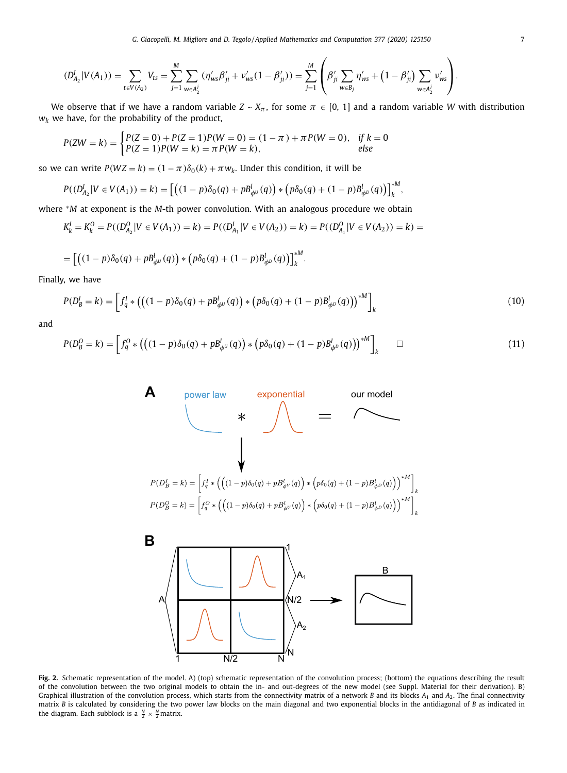<span id="page-6-0"></span>
$$
(D_{A_2}^I | V(A_1)) = \sum_{t \in V(A_2)} V_{ts} = \sum_{j=1}^M \sum_{w \in A_2^j} (\eta'_{ws} \beta'_{ji} + \nu'_{ws} (1 - \beta'_{ji})) = \sum_{j=1}^M \left( \beta'_{ji} \sum_{w \in B_j} \eta'_{ws} + (1 - \beta'_{ji}) \sum_{w \in A_2^j} \nu'_{ws} \right).
$$

We observe that if we have a random variable  $Z \sim X_{\pi}$ , for some  $\pi \in [0, 1]$  and a random variable *W* with distribution  $w_k$  we have, for the probability of the product,

$$
P(ZW = k) = \begin{cases} P(Z = 0) + P(Z = 1)P(W = 0) = (1 - \pi) + \pi P(W = 0), & \text{if } k = 0\\ P(Z = 1)P(W = k) = \pi P(W = k), & \text{else} \end{cases}
$$

so we can write  $P(WZ = k) = (1 - \pi)\delta_0(k) + \pi w_k$ . Under this condition, it will be

$$
P((D_{A_2}^I | V \in V(A_1)) = k) = \left[ \left( (1-p)\delta_0(q) + p B_{\phi^U}^I(q) \right) * \left( p \delta_0(q) + (1-p) B_{\phi^D}^I(q) \right) \right]_k^{*M},
$$

where <sup>∗</sup>*M* at exponent is the *M*-th power convolution. With an analogous procedure we obtain

$$
K_{k}^{I} = K_{k}^{O} = P((D_{A_{2}}^{O} | V \in V(A_{1}))) = k) = P((D_{A_{1}}^{I} | V \in V(A_{2}))) = k) = P((D_{A_{1}}^{O} | V \in V(A_{2}))) = k) = k
$$

$$
= \left[ \left( (1-p) \delta_0(q) + p B_{\phi^{U}}^l(q) \right) * \left( p \delta_0(q) + (1-p) B_{\phi^{D}}^l(q) \right) \right]_k^{\circ M}.
$$

Finally, we have

$$
P(D_B^l = k) = \left[ f_q^l * (((1 - p)\delta_0(q) + p B_{\phi^l}^l(q)) * (p \delta_0(q) + (1 - p) B_{\phi^l}^l(q)))^* \right]_k
$$
\n(10)

and

$$
P(D_B^0 = k) = \left[ f_q^0 * (((1 - p)\delta_0(q) + pB_{\phi^U}^l(q)) * (p\delta_0(q) + (1 - p)B_{\phi^D}^l(q)))^* \right]_k \square
$$
 (11)



**Fig. 2.** Schematic representation of the model. A) (top) schematic representation of the convolution process; (bottom) the equations describing the result of the convolution between the two original models to obtain the in- and out-degrees of the new model (see Suppl. Material for their derivation). B) Graphical illustration of the convolution process, which starts from the connectivity matrix of a network *B* and its blocks *A*<sup>1</sup> and *A*2. The final connectivity matrix *B* is calculated by considering the two power law blocks on the main diagonal and two exponential blocks in the antidiagonal of *B* as indicated in the diagram. Each subblock is a  $\frac{N}{2} \times \frac{N}{2}$  matrix.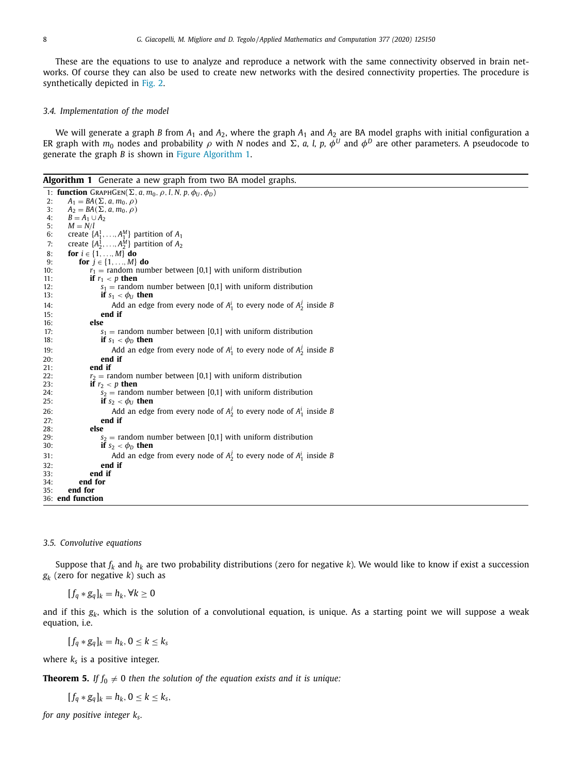These are the equations to use to analyze and reproduce a network with the same connectivity observed in brain networks. Of course they can also be used to create new networks with the desired connectivity properties. The procedure is synthetically depicted in [Fig.](#page-6-0) 2.

#### *3.4. Implementation of the model*

We will generate a graph *B* from  $A_1$  and  $A_2$ , where the graph  $A_1$  and  $A_2$  are BA model graphs with initial configuration a ER graph with  $m_0$  nodes and probability  $\rho$  with N nodes and  $\Sigma$ , *a*, *l, p*,  $\phi^U$  and  $\phi^D$  are other parameters. A pseudocode to generate the graph *B* is shown in Figure Algorithm 1.

**Algorithm 1** Generate a new graph from two BA model graphs.

|     | 1: function GRAPHGEN( $\Sigma$ , a, $m_0$ , $\rho$ , l, N, p, $\phi_U$ , $\phi_D$ ) |
|-----|-------------------------------------------------------------------------------------|
| 2:  | $A_1 = BA(\Sigma, a, m_0, \rho)$                                                    |
| 3:  | $A_2 = BA(\Sigma, a, m_0, \rho)$                                                    |
| 4:  | $B=A_1\cup A_2$                                                                     |
| 5:  | $M = N/l$                                                                           |
| 6:  | create $\{A_1^1, \ldots, A_1^M\}$ partition of $A_1$                                |
| 7:  | create $\{A_2^1, \ldots, A_2^M\}$ partition of $A_2$                                |
| 8:  | for $i \in \{1, , M\}$ do                                                           |
| 9:  | for $j \in \{1, , M\}$ do                                                           |
| 10: | $r_1$ = random number between [0,1] with uniform distribution                       |
| 11: | if $r_1 < p$ then                                                                   |
| 12: | $s_1$ = random number between [0,1] with uniform distribution                       |
| 13: | if $s_1 < \phi_U$ then                                                              |
| 14: | Add an edge from every node of $A_1^i$ to every node of $A_2^j$ inside B            |
| 15: | end if                                                                              |
| 16: | else                                                                                |
| 17: | $s_1$ = random number between [0,1] with uniform distribution                       |
| 18: | if $s_1 < \phi_D$ then                                                              |
| 19: | Add an edge from every node of $A_1^i$ to every node of $A_2^j$ inside B            |
| 20: | end if                                                                              |
| 21: | end if                                                                              |
| 22: | $r_2$ = random number between [0,1] with uniform distribution                       |
| 23: | if $r_2 < p$ then                                                                   |
| 24: | $s_2$ = random number between [0,1] with uniform distribution                       |
| 25: | if $s_2 < \phi_U$ then                                                              |
| 26: | Add an edge from every node of $A_2^j$ to every node of $A_1^i$ inside B            |
| 27: | end if                                                                              |
| 28: | else                                                                                |
| 29: | $s_2$ = random number between [0,1] with uniform distribution                       |
| 30: | if $s_2 < \phi_D$ then                                                              |
| 31: | Add an edge from every node of $A_2^j$ to every node of $A_1^i$ inside B            |
| 32: | end if                                                                              |
| 33: | end if                                                                              |
| 34: | end for                                                                             |
| 35: | end for                                                                             |
|     | 36: end function                                                                    |

#### *3.5. Convolutive equations*

Suppose that  $f_k$  and  $h_k$  are two probability distributions (zero for negative  $k$ ). We would like to know if exist a succession *gk* (zero for negative *k*) such as

 $[f_q * g_q]_k = h_k, ∀k ≥ 0$ 

and if this  $g_k$ , which is the solution of a convolutional equation, is unique. As a starting point we will suppose a weak equation, i.e.

 $[f_q * g_q]_k = h_k, 0 \le k \le k_s$ 

where  $k_s$  is a positive integer.

**Theorem 5.** If  $f_0 \neq 0$  then the solution of the equation exists and it is unique:

 $[f_q * g_q]_k = h_k, 0 \le k \le k_s,$ 

*for any positive integer ks.*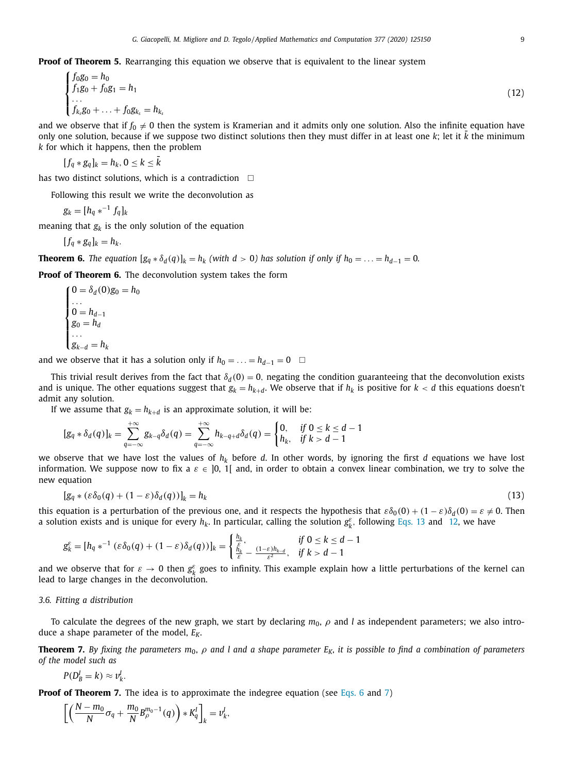**Proof of Theorem 5.** Rearranging this equation we observe that is equivalent to the linear system

$$
\begin{cases}\nf_0g_0 = h_0 \\
f_1g_0 + f_0g_1 = h_1 \\
\vdots \\
f_{k_s}g_0 + \ldots + f_0g_{k_s} = h_{k_s}\n\end{cases}
$$
\n(12)

and we observe that if  $f_0 \neq 0$  then the system is Kramerian and it admits only one solution. Also the infinite equation have only one solution, because if we suppose two distinct solutions then they must differ in at least one  $k$ ; let it  $k$  the minimum *k* for which it happens, then the problem

$$
[f_q * g_q]_k = h_k, 0 \leq k \leq \bar{k}
$$

has two distinct solutions, which is a contradiction  $\Box$ 

Following this result we write the deconvolution as

 $g_k = [h_q *^{-1} f_q]_k$ 

meaning that  $g_k$  is the only solution of the equation

$$
[f_q * g_q]_k = h_k.
$$

**Theorem 6.** The equation  $[g_a * \delta_d(q)]_k = h_k$  (with  $d > 0$ ) has solution if only if  $h_0 = \ldots = h_{d-1} = 0$ .

**Proof of Theorem 6.** The deconvolution system takes the form

 $\sqrt{ }$  $\int$  $\sqrt{2}$  $0 = \delta_d(0)g_0 = h_0$ . . .  $0 = h_{d-1}$  $g_0 = h_d$ . . . *gk*<sup>−</sup>*<sup>d</sup>* = *hk*

and we observe that it has a solution only if  $h_0 = \ldots = h_{d-1} = 0$  □

This trivial result derives from the fact that  $\delta_d(0) = 0$ , negating the condition guaranteeing that the deconvolution exists and is unique. The other equations suggest that  $g_k = h_{k+d}$ . We observe that if  $h_k$  is positive for  $k < d$  this equations doesn't admit any solution.

If we assume that  $g_k = h_{k+d}$  is an approximate solution, it will be:

$$
[g_q*\delta_d(q)]_k = \sum_{q=-\infty}^{+\infty} g_{k-q} \delta_d(q) = \sum_{q=-\infty}^{+\infty} h_{k-q+d} \delta_d(q) = \begin{cases} 0, & \text{if } 0 \leq k \leq d-1 \\ h_k, & \text{if } k > d-1 \end{cases}
$$

we observe that we have lost the values of  $h_k$  before *d*. In other words, by ignoring the first *d* equations we have lost information. We suppose now to fix a  $\varepsilon \in [0, 1]$  and, in order to obtain a convex linear combination, we try to solve the new equation

$$
[g_q * (\varepsilon \delta_0(q) + (1 - \varepsilon) \delta_d(q))]_k = h_k
$$
\n(13)

this equation is a perturbation of the previous one, and it respects the hypothesis that  $\varepsilon \delta_0(0) + (1 - \varepsilon) \delta_d(0) = \varepsilon \neq 0$ . Then a solution exists and is unique for every  $h_k$ . In particular, calling the solution  $g_k^{\varepsilon}$ , following Eqs. 13 and 12, we have

$$
g_k^{\varepsilon} = [h_q \ast^{-1} (\varepsilon \delta_0(q) + (1 - \varepsilon) \delta_d(q))]_k = \begin{cases} \frac{h_k}{\varepsilon}, & \text{if } 0 \le k \le d - 1\\ \frac{h_k}{\varepsilon} - \frac{(1 - \varepsilon)h_{k - d}}{\varepsilon^2}, & \text{if } k > d - 1 \end{cases}
$$

and we observe that for  $\varepsilon \to 0$  then  $g_k^{\varepsilon}$  goes to infinity. This example explain how a little perturbations of the kernel can lead to large changes in the deconvolution.

#### *3.6. Fitting a distribution*

To calculate the degrees of the new graph, we start by declaring  $m_0$ ,  $\rho$  and *l* as independent parameters; we also introduce a shape parameter of the model,  $E_K$ .

**Theorem 7.** By fixing the parameters  $m_0$ ,  $\rho$  and l and a shape parameter  $E_K$ , it is possible to find a combination of parameters *of the model such as*

$$
P(D_B^l = k) \approx \nu_k^l.
$$

**Proof of Theorem 7.** The idea is to approximate the indegree equation (see [Eqs.](#page-4-0) 6 and [7\)](#page-4-0)

$$
\left[\left(\frac{N-m_0}{N}\sigma_q+\frac{m_0}{N}B^{m_0-1}_\rho(q)\right)*K_q^l\right]_k=v_k^l,
$$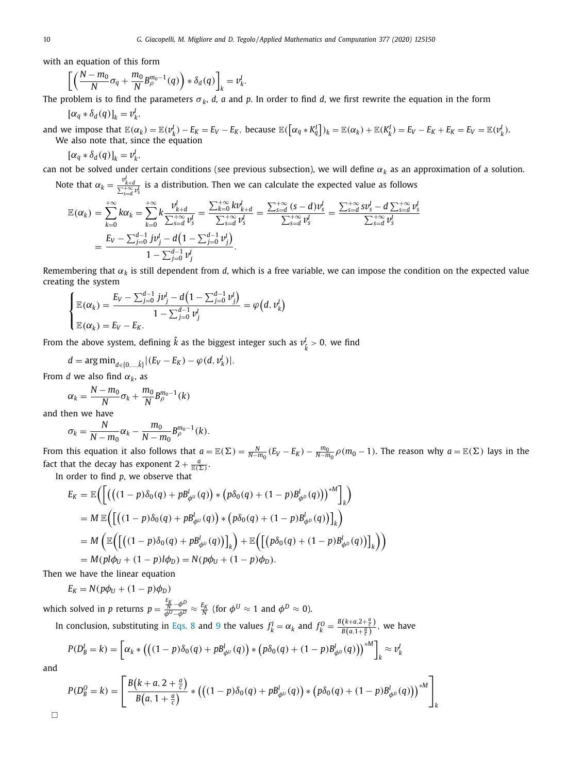with an equation of this form

$$
\left[ \left( \frac{N - m_0}{N} \sigma_q + \frac{m_0}{N} B_{\rho}^{m_0 - 1}(q) \right) * \delta_d(q) \right]_k = v'_k.
$$

The problem is to find the parameters  $\sigma_k$ , *d*, *a* and *p*. In order to find *d*, we first rewrite the equation in the form

$$
[\alpha_q * \delta_d(q)]_k = v_k^l,
$$

and we impose that  $\mathbb{E}(\alpha_k) = \mathbb{E}(v_k^l) - E_K = E_V - E_K$ , because  $\mathbb{E}(\left[\alpha_q * K_q^l\right])_k = \mathbb{E}(\alpha_k) + \mathbb{E}(K_k^l) = E_V - E_K + E_K = E_V = \mathbb{E}(v_k^l)$ . We also note that, since the equation

$$
[\alpha_q * \delta_d(q)]_k = v_k^l,
$$

can not be solved under certain conditions (see previous subsection), we will define  $\alpha_k$  as an approximation of a solution.

Note that  $\alpha_k = \frac{v^l_{k+d}}{\sum_{s=d}^{+\infty} v^l_s}$  is a distribution. Then we can calculate the expected value as follows

$$
\mathbb{E}(\alpha_k) = \sum_{k=0}^{+\infty} k \alpha_k = \sum_{k=0}^{+\infty} k \frac{\nu_{k+d}^l}{\sum_{s=d}^{+\infty} \nu_s^l} = \frac{\sum_{k=0}^{+\infty} k \nu_{k+d}^l}{\sum_{s=d}^{+\infty} \nu_s^l} = \frac{\sum_{s=d}^{+\infty} (s-d) \nu_s^l}{\sum_{s=d}^{+\infty} \nu_s^l} = \frac{\sum_{s=d}^{+\infty} s \nu_s^l - d \sum_{s=d}^{+\infty} \nu_s^l}{\sum_{s=d}^{+\infty} \nu_s^l} = \frac{E_V - \sum_{j=0}^{d-1} j \nu_j^l - d \left(1 - \sum_{j=0}^{d-1} \nu_j^l\right)}{1 - \sum_{j=0}^{d-1} \nu_j^l}.
$$

Remembering that  $\alpha_k$  is still dependent from *d*, which is a free variable, we can impose the condition on the expected value creating the system

$$
\begin{cases} \mathbb{E}(\alpha_k) = \frac{E_V - \sum_{j=0}^{d-1} j v_j^l - d \left( 1 - \sum_{j=0}^{d-1} v_j^l \right)}{1 - \sum_{j=0}^{d-1} v_j^l} = \varphi\big(d, v_k^l\big) \\ \mathbb{E}(\alpha_k) = E_V - E_K. \end{cases}
$$

From the above system, defining  $\hat{k}$  as the biggest integer such as  $v_{\hat{k}}^I > 0$ , we find

$$
d = \arg \min_{d \in \{0, ..., \hat{k}\}} |(E_V - E_K) - \varphi(d, v_k^l)|.
$$

From *d* we also find  $\alpha_k$ , as

$$
\alpha_k = \frac{N - m_0}{N} \sigma_k + \frac{m_0}{N} B_\rho^{m_0 - 1}(k)
$$

and then we have

$$
\sigma_k = \frac{N}{N - m_0} \alpha_k - \frac{m_0}{N - m_0} B_{\rho}^{m_0 - 1}(k).
$$

From this equation it also follows that  $a = \mathbb{E}(\Sigma) = \frac{N}{N-m_0} (E_V - E_K) - \frac{m_0}{N-m_0} \rho (m_0 - 1)$ . The reason why  $a = \mathbb{E}(\Sigma)$  lays in the fact that the decay has exponent  $2 + \frac{a}{\mathbb{E}(\Sigma)}$ .

In order to find *p*, we observe that

$$
E_K = \mathbb{E}\Biggl(\Biggl[\Bigl(\bigl((1-p)\delta_0(q) + pB_{\phi^U}^l(q)\bigr) * \bigl(p\delta_0(q) + (1-p)B_{\phi^D}^l(q)\bigr)\bigr)^{*M}\Biggr]_k\Biggr) = M \mathbb{E}\Biggl(\Biggl[\Bigl((1-p)\delta_0(q) + pB_{\phi^U}^l(q)\bigr) * \bigl(p\delta_0(q) + (1-p)B_{\phi^D}^l(q)\bigr)\Biggr]_k\Biggr) = M \Biggl(\mathbb{E}\Biggl(\Biggl[\bigl((1-p)\delta_0(q) + pB_{\phi^U}^l(q)\bigr)\Biggr]_k\Biggr) + \mathbb{E}\Biggl(\Biggl[\bigl(p\delta_0(q) + (1-p)B_{\phi^D}^l(q)\bigr)\Biggr]_k\Biggr) = M(p|b_U + (1-p)|b_D) = N(pb_U + (1-p)\phi_D).
$$

Then we have the linear equation

$$
E_K = N(p\phi_U + (1-p)\phi_D)
$$

which solved in *p* returns  $p = \frac{E_K}{\phi^U - \phi^D} \approx \frac{E_K}{N}$  (for  $\phi^U \approx 1$  and  $\phi^D \approx 0$ ).

In conclusion, substituting in [Eqs.](#page-5-0) 8 and [9](#page-5-0) the values  $f_k^I = \alpha_k$  and  $f_k^O = \frac{B(k+a,2+\frac{a}{c})}{B(a,1+\frac{a}{c})}$  $\frac{(x+a, z+\frac{c}{c})}{B(a, 1+\frac{a}{c})}$ , we have

$$
P(D_B^I = k) = \left[ \alpha_k * ((1 - p)\delta_0(q) + p B_{\phi^U}^I(q)) * (p \delta_0(q) + (1 - p) B_{\phi^D}^I(q)))^* \right]_k \approx v_k^I
$$

and

 $\Box$ 

$$
P(D_B^O = k) = \left[ \frac{B(k + a, 2 + \frac{a}{c})}{B(a, 1 + \frac{a}{c})} * ((1 - p)\delta_0(q) + pB_{\phi^U}^l(q)) * (p\delta_0(q) + (1 - p)B_{\phi^D}^l(q)))^{\ast M} \right]_k
$$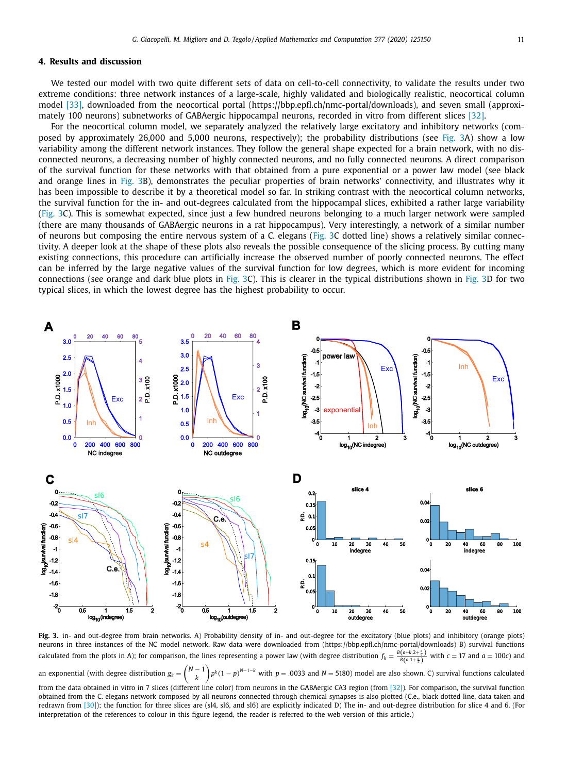#### **4. Results and discussion**

We tested our model with two quite different sets of data on cell-to-cell connectivity, to validate the results under two extreme conditions: three network instances of a large-scale, highly validated and biologically realistic, neocortical column model [\[33\],](#page-14-0) downloaded from the neocortical portal (https://bbp.epfl.ch/nmc-portal/downloads), and seven small (approximately 100 neurons) subnetworks of GABAergic hippocampal neurons, recorded in vitro from different slices [\[32\].](#page-14-0)

For the neocortical column model, we separately analyzed the relatively large excitatory and inhibitory networks (composed by approximately 26,000 and 5,000 neurons, respectively); the probability distributions (see Fig. 3A) show a low variability among the different network instances. They follow the general shape expected for a brain network, with no disconnected neurons, a decreasing number of highly connected neurons, and no fully connected neurons. A direct comparison of the survival function for these networks with that obtained from a pure exponential or a power law model (see black and orange lines in Fig. 3B), demonstrates the peculiar properties of brain networks' connectivity, and illustrates why it has been impossible to describe it by a theoretical model so far. In striking contrast with the neocortical column networks, the survival function for the in- and out-degrees calculated from the hippocampal slices, exhibited a rather large variability (Fig. 3C). This is somewhat expected, since just a few hundred neurons belonging to a much larger network were sampled (there are many thousands of GABAergic neurons in a rat hippocampus). Very interestingly, a network of a similar number of neurons but composing the entire nervous system of a C. elegans (Fig. 3C dotted line) shows a relatively similar connectivity. A deeper look at the shape of these plots also reveals the possible consequence of the slicing process. By cutting many existing connections, this procedure can artificially increase the observed number of poorly connected neurons. The effect can be inferred by the large negative values of the survival function for low degrees, which is more evident for incoming connections (see orange and dark blue plots in Fig. 3C). This is clearer in the typical distributions shown in Fig. 3D for two typical slices, in which the lowest degree has the highest probability to occur.



**Fig. 3.** in- and out-degree from brain networks. A) Probability density of in- and out-degree for the excitatory (blue plots) and inhibitory (orange plots) neurons in three instances of the NC model network. Raw data were downloaded from (https://bbp.epfl.ch/nmc-portal/downloads) B) survival functions calculated from the plots in A); for comparison, the lines representing a power law (with degree distribution  $f_k = \frac{B(a+k,2+\frac{a}{c})}{B(a,1+\frac{a}{c})}$  with  $c = 17$  and  $a = 100c$ ) and

an exponential (with degree distribution  $g_k =$  $\sqrt{2}$ *N* − 1 *k*  $\binom{p}{k}$  *p*<sup> $k$ </sup> (1 − *p*)<sup>*N*−1−*k*</sup> with *p* = .0033 and *N* = 5180) model are also shown. C) survival functions calculated from the data obtained in vitro in 7 slices (different line color) from neurons in the GABAergic CA3 region (from [\[32\]\)](#page-14-0). For comparison, the survival function

obtained from the C. elegans network composed by all neurons connected through chemical synapses is also plotted (C.e., black dotted line, data taken and redrawn from [\[30\]\)](#page-14-0); the function for three slices are (sl4, sl6, and sl6) are explicitly indicated D) The in- and out-degree distribution for slice 4 and 6. (For interpretation of the references to colour in this figure legend, the reader is referred to the web version of this article.)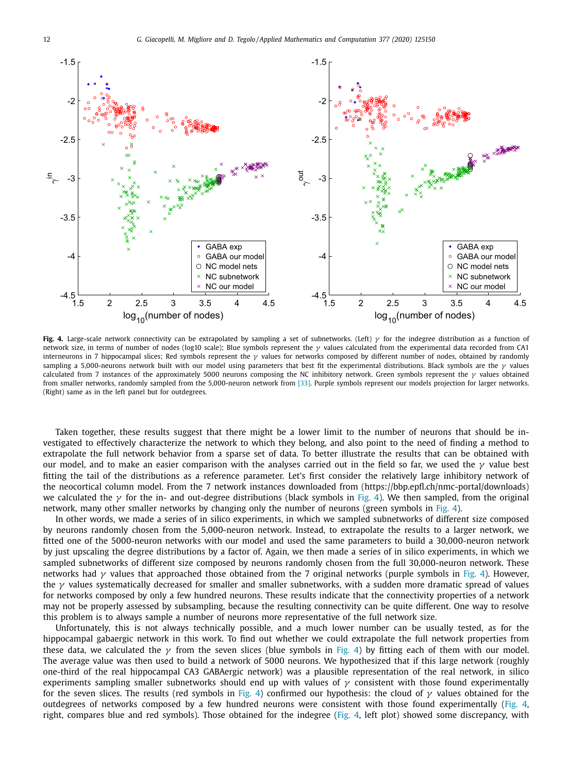<span id="page-11-0"></span>

**Fig. 4.** Large-scale network connectivity can be extrapolated by sampling a set of subnetworks. (Left) γ for the indegree distribution as a function of network size, in terms of number of nodes (log10 scale); Blue symbols represent the γ values calculated from the experimental data recorded from CA1 interneurons in 7 hippocampal slices; Red symbols represent the  $\gamma$  values for networks composed by different number of nodes, obtained by randomly sampling a 5,000-neurons network built with our model using parameters that best fit the experimental distributions. Black symbols are the  $\gamma$  values calculated from 7 instances of the approximately 5000 neurons composing the NC inhibitory network. Green symbols represent the  $\gamma$  values obtained from smaller networks, randomly sampled from the 5,000-neuron network from [\[33\].](#page-14-0) Purple symbols represent our models projection for larger networks. (Right) same as in the left panel but for outdegrees.

Taken together, these results suggest that there might be a lower limit to the number of neurons that should be investigated to effectively characterize the network to which they belong, and also point to the need of finding a method to extrapolate the full network behavior from a sparse set of data. To better illustrate the results that can be obtained with our model, and to make an easier comparison with the analyses carried out in the field so far, we used the  $\gamma$  value best fitting the tail of the distributions as a reference parameter. Let's first consider the relatively large inhibitory network of the neocortical column model. From the 7 network instances downloaded from (https://bbp.epfl.ch/nmc-portal/downloads) we calculated the  $\gamma$  for the in- and out-degree distributions (black symbols in Fig. 4). We then sampled, from the original network, many other smaller networks by changing only the number of neurons (green symbols in Fig. 4).

In other words, we made a series of in silico experiments, in which we sampled subnetworks of different size composed by neurons randomly chosen from the 5,000-neuron network. Instead, to extrapolate the results to a larger network, we fitted one of the 5000-neuron networks with our model and used the same parameters to build a 30,000-neuron network by just upscaling the degree distributions by a factor of. Again, we then made a series of in silico experiments, in which we sampled subnetworks of different size composed by neurons randomly chosen from the full 30,000-neuron network. These networks had  $\gamma$  values that approached those obtained from the 7 original networks (purple symbols in Fig. 4). However, the  $\gamma$  values systematically decreased for smaller and smaller subnetworks, with a sudden more dramatic spread of values for networks composed by only a few hundred neurons. These results indicate that the connectivity properties of a network may not be properly assessed by subsampling, because the resulting connectivity can be quite different. One way to resolve this problem is to always sample a number of neurons more representative of the full network size.

Unfortunately, this is not always technically possible, and a much lower number can be usually tested, as for the hippocampal gabaergic network in this work. To find out whether we could extrapolate the full network properties from these data, we calculated the  $\gamma$  from the seven slices (blue symbols in Fig. 4) by fitting each of them with our model. The average value was then used to build a network of 5000 neurons. We hypothesized that if this large network (roughly one-third of the real hippocampal CA3 GABAergic network) was a plausible representation of the real network, in silico experiments sampling smaller subnetworks should end up with values of  $\gamma$  consistent with those found experimentally for the seven slices. The results (red symbols in Fig. 4) confirmed our hypothesis: the cloud of  $\gamma$  values obtained for the outdegrees of networks composed by a few hundred neurons were consistent with those found experimentally (Fig. 4, right, compares blue and red symbols). Those obtained for the indegree (Fig. 4, left plot) showed some discrepancy, with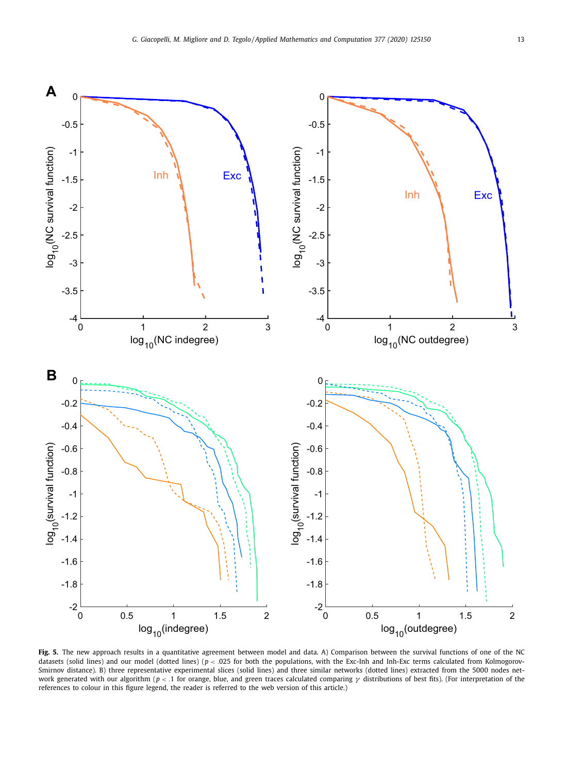<span id="page-12-0"></span>

**Fig. 5.** The new approach results in a quantitative agreement between model and data. A) Comparison between the survival functions of one of the NC datasets (solid lines) and our model (dotted lines) ( $p < .025$  for both the populations, with the Exc-Inh and Inh-Exc terms calculated from Kolmogorov-Smirnov distance). B) three representative experimental slices (solid lines) and three similar networks (dotted lines) extracted from the 5000 nodes network generated with our algorithm (*p* < .1 for orange, blue, and green traces calculated comparing γ distributions of best fits). (For interpretation of the references to colour in this figure legend, the reader is referred to the web version of this article.)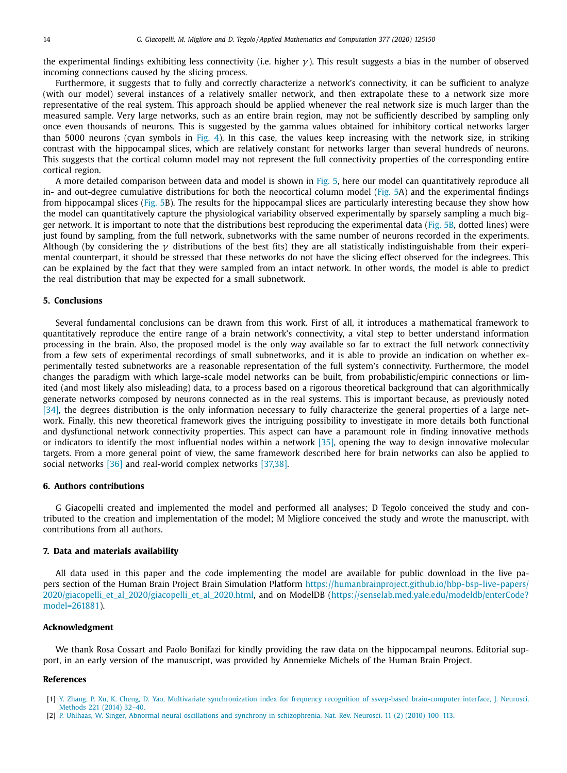<span id="page-13-0"></span>the experimental findings exhibiting less connectivity (i.e. higher  $\gamma$ ). This result suggests a bias in the number of observed incoming connections caused by the slicing process.

Furthermore, it suggests that to fully and correctly characterize a network's connectivity, it can be sufficient to analyze (with our model) several instances of a relatively smaller network, and then extrapolate these to a network size more representative of the real system. This approach should be applied whenever the real network size is much larger than the measured sample. Very large networks, such as an entire brain region, may not be sufficiently described by sampling only once even thousands of neurons. This is suggested by the gamma values obtained for inhibitory cortical networks larger than 5000 neurons (cyan symbols in [Fig.](#page-11-0) 4). In this case, the values keep increasing with the network size, in striking contrast with the hippocampal slices, which are relatively constant for networks larger than several hundreds of neurons. This suggests that the cortical column model may not represent the full connectivity properties of the corresponding entire cortical region.

A more detailed comparison between data and model is shown in [Fig.](#page-12-0) 5, here our model can quantitatively reproduce all in- and out-degree cumulative distributions for both the neocortical column model [\(Fig.](#page-12-0) 5A) and the experimental findings from hippocampal slices [\(Fig.](#page-12-0) 5B). The results for the hippocampal slices are particularly interesting because they show how the model can quantitatively capture the physiological variability observed experimentally by sparsely sampling a much bigger network. It is important to note that the distributions best reproducing the experimental data [\(Fig.](#page-12-0) 5B, dotted lines) were just found by sampling, from the full network, subnetworks with the same number of neurons recorded in the experiments. Although (by considering the  $\gamma$  distributions of the best fits) they are all statistically indistinguishable from their experimental counterpart, it should be stressed that these networks do not have the slicing effect observed for the indegrees. This can be explained by the fact that they were sampled from an intact network. In other words, the model is able to predict the real distribution that may be expected for a small subnetwork.

#### **5. Conclusions**

Several fundamental conclusions can be drawn from this work. First of all, it introduces a mathematical framework to quantitatively reproduce the entire range of a brain network's connectivity, a vital step to better understand information processing in the brain. Also, the proposed model is the only way available so far to extract the full network connectivity from a few sets of experimental recordings of small subnetworks, and it is able to provide an indication on whether experimentally tested subnetworks are a reasonable representation of the full system's connectivity. Furthermore, the model changes the paradigm with which large-scale model networks can be built, from probabilistic/empiric connections or limited (and most likely also misleading) data, to a process based on a rigorous theoretical background that can algorithmically generate networks composed by neurons connected as in the real systems. This is important because, as previously noted [\[34\],](#page-14-0) the degrees distribution is the only information necessary to fully characterize the general properties of a large network. Finally, this new theoretical framework gives the intriguing possibility to investigate in more details both functional and dysfunctional network connectivity properties. This aspect can have a paramount role in finding innovative methods or indicators to identify the most influential nodes within a network [\[35\],](#page-14-0) opening the way to design innovative molecular targets. From a more general point of view, the same framework described here for brain networks can also be applied to social networks [\[36\]](#page-14-0) and real-world complex networks [\[37,38\].](#page-14-0)

#### **6. Authors contributions**

G Giacopelli created and implemented the model and performed all analyses; D Tegolo conceived the study and contributed to the creation and implementation of the model; M Migliore conceived the study and wrote the manuscript, with contributions from all authors.

### **7. Data and materials availability**

All data used in this paper and the code implementing the model are available for public download in the live papers section of the Human Brain Project Brain Simulation Platform [https://humanbrainproject.github.io/hbp-bsp-live-papers/](https://humanbrainproject.github.io/hbp-bsp-live-papers/2020/giacopelli_et_al_2020/giacopelli_et_al_2020.html) [2020/giacopelli\\_et\\_al\\_2020/giacopelli\\_et\\_al\\_2020.html,](https://senselab.med.yale.edu/modeldb/enterCode?model=261881) and on ModelDB (https://senselab.med.yale.edu/modeldb/enterCode? model=261881).

#### **Acknowledgment**

We thank Rosa Cossart and Paolo Bonifazi for kindly providing the raw data on the hippocampal neurons. Editorial support, in an early version of the manuscript, was provided by Annemieke Michels of the Human Brain Project.

#### **References**

- [1] Y. [Zhang,](http://refhub.elsevier.com/S0096-3003(20)30119-3/sbref0001) P. [Xu,](http://refhub.elsevier.com/S0096-3003(20)30119-3/sbref0001) K. [Cheng,](http://refhub.elsevier.com/S0096-3003(20)30119-3/sbref0001) D. [Yao,](http://refhub.elsevier.com/S0096-3003(20)30119-3/sbref0001) Multivariate [synchronization](http://refhub.elsevier.com/S0096-3003(20)30119-3/sbref0001) index for frequency recognition of ssvep-based brain-computer interface, J. Neurosci. Methods 221 (2014) 32–40.
- [2] P. [Uhlhaas,](http://refhub.elsevier.com/S0096-3003(20)30119-3/sbref0002) W. [Singer,](http://refhub.elsevier.com/S0096-3003(20)30119-3/sbref0002) Abnormal neural oscillations and synchrony in [schizophrenia,](http://refhub.elsevier.com/S0096-3003(20)30119-3/sbref0002) Nat. Rev. Neurosci. 11 (2) (2010) 100–113.